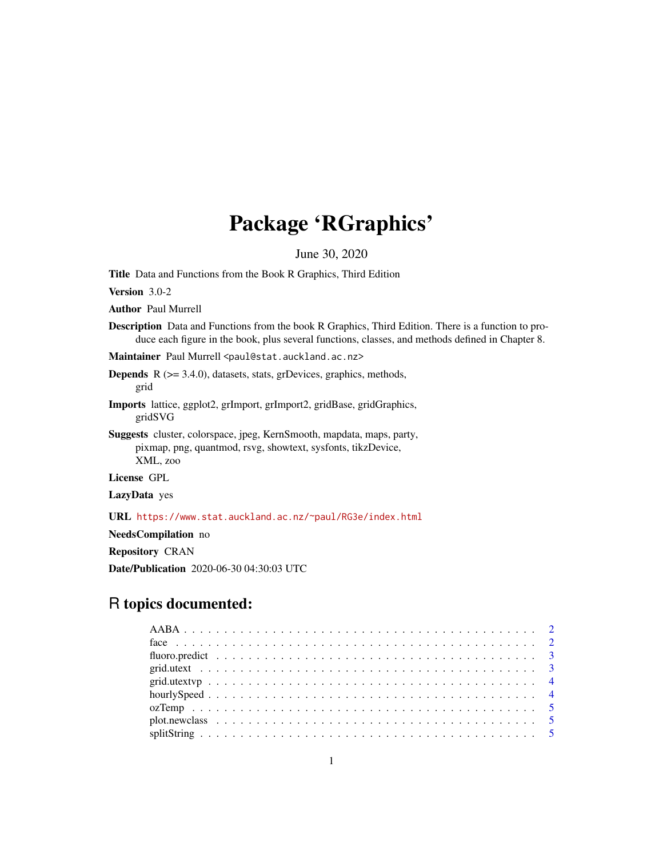# Package 'RGraphics'

June 30, 2020

Title Data and Functions from the Book R Graphics, Third Edition

Version 3.0-2

Author Paul Murrell

Description Data and Functions from the book R Graphics, Third Edition. There is a function to produce each figure in the book, plus several functions, classes, and methods defined in Chapter 8.

Maintainer Paul Murrell <paul@stat.auckland.ac.nz>

**Depends**  $R$  ( $>= 3.4.0$ ), datasets, stats, grDevices, graphics, methods, grid

Imports lattice, ggplot2, grImport, grImport2, gridBase, gridGraphics, gridSVG

Suggests cluster, colorspace, jpeg, KernSmooth, mapdata, maps, party, pixmap, png, quantmod, rsvg, showtext, sysfonts, tikzDevice, XML, zoo

License GPL

LazyData yes

URL <https://www.stat.auckland.ac.nz/~paul/RG3e/index.html>

NeedsCompilation no

Repository CRAN

Date/Publication 2020-06-30 04:30:03 UTC

# R topics documented: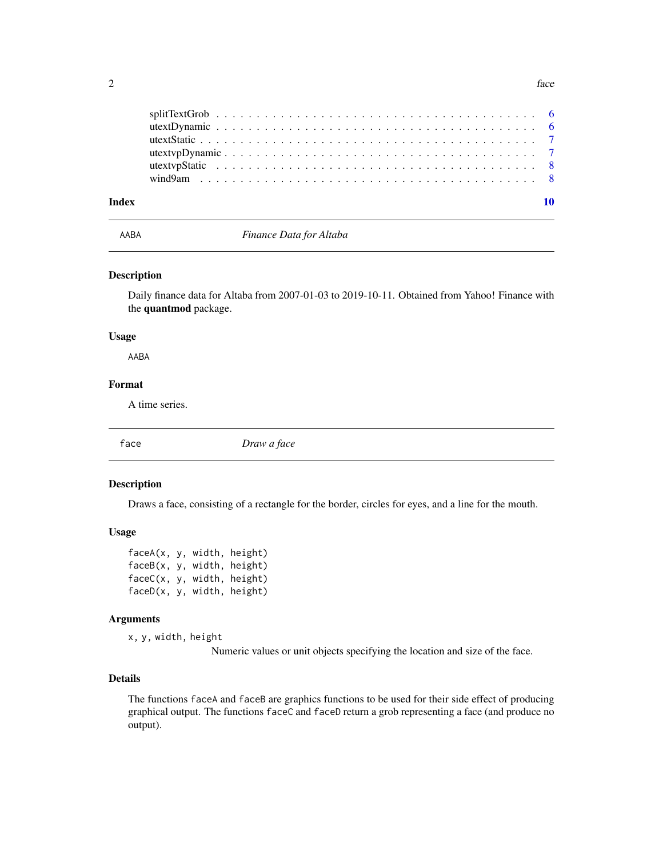<span id="page-1-0"></span>

| Index |  |
|-------|--|
|       |  |
|       |  |
|       |  |
|       |  |
|       |  |
|       |  |

AABA *Finance Data for Altaba*

#### Description

Daily finance data for Altaba from 2007-01-03 to 2019-10-11. Obtained from Yahoo! Finance with the quantmod package.

#### Usage

AABA

#### Format

A time series.

face *Draw a face*

#### Description

Draws a face, consisting of a rectangle for the border, circles for eyes, and a line for the mouth.

#### Usage

```
faceA(x, y, width, height)
faceB(x, y, width, height)
faceC(x, y, width, height)
faceD(x, y, width, height)
```
#### Arguments

x, y, width, height

Numeric values or unit objects specifying the location and size of the face.

#### Details

The functions faceA and faceB are graphics functions to be used for their side effect of producing graphical output. The functions faceC and faceD return a grob representing a face (and produce no output).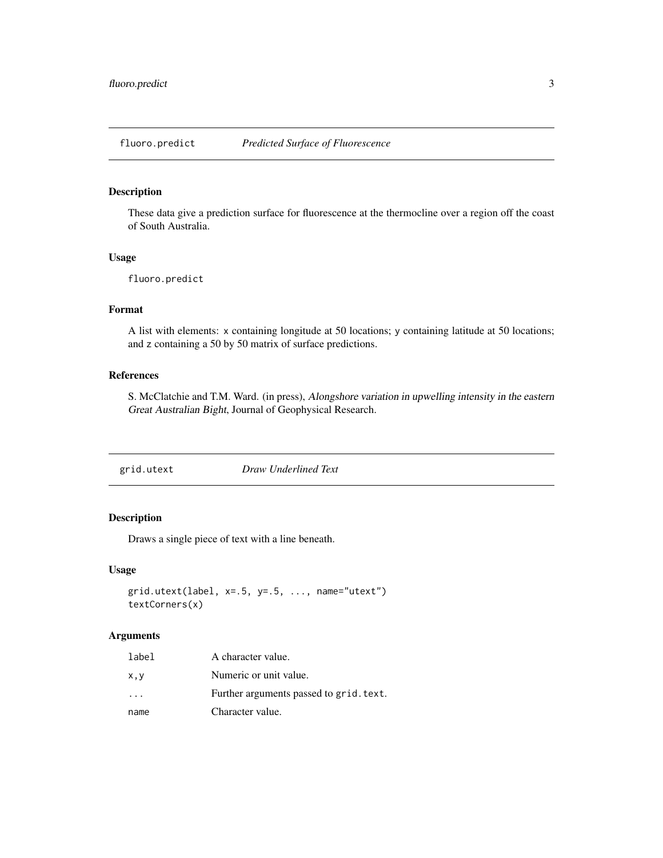<span id="page-2-0"></span>

These data give a prediction surface for fluorescence at the thermocline over a region off the coast of South Australia.

#### Usage

fluoro.predict

# Format

A list with elements: x containing longitude at 50 locations; y containing latitude at 50 locations; and z containing a 50 by 50 matrix of surface predictions.

#### References

S. McClatchie and T.M. Ward. (in press), Alongshore variation in upwelling intensity in the eastern Great Australian Bight, Journal of Geophysical Research.

| grid.utext | Draw Underlined Text |  |
|------------|----------------------|--|
|            |                      |  |

#### Description

Draws a single piece of text with a line beneath.

#### Usage

```
grid.utext(label, x=.5, y=.5, ..., name='utext")textCorners(x)
```
#### Arguments

| label                   | A character value.                      |
|-------------------------|-----------------------------------------|
| x,y                     | Numeric or unit value.                  |
| $\cdot$ $\cdot$ $\cdot$ | Further arguments passed to grid. text. |
| name                    | Character value.                        |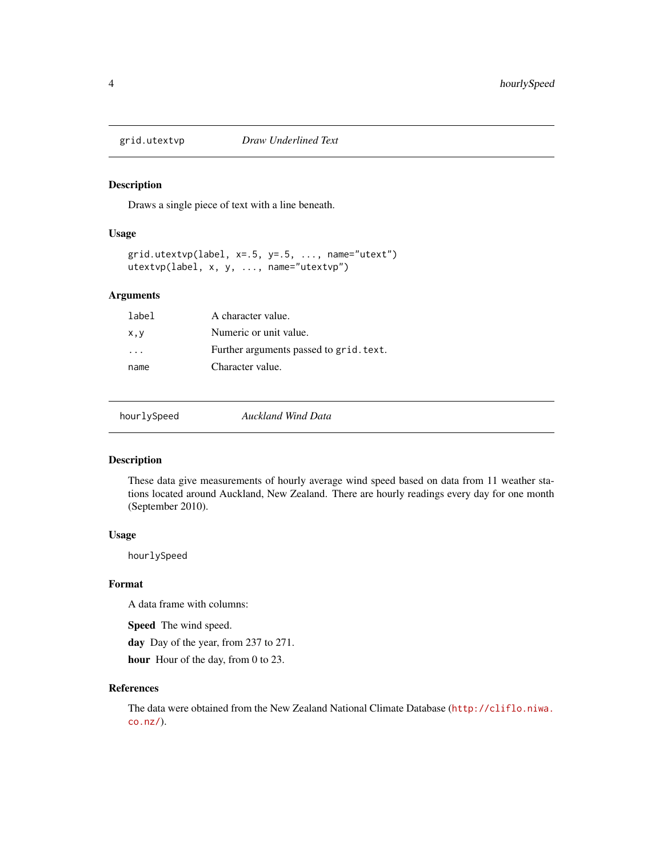<span id="page-3-0"></span>

Draws a single piece of text with a line beneath.

#### Usage

 $grid.utextvp(label, x=.5, y=.5, ..., name='utext")$ utextvp(label, x, y, ..., name="utextvp")

#### Arguments

| label    | A character value.                      |
|----------|-----------------------------------------|
| x,y      | Numeric or unit value.                  |
| $\cdots$ | Further arguments passed to grid. text. |
| name     | Character value.                        |
|          |                                         |

hourlySpeed *Auckland Wind Data*

#### Description

These data give measurements of hourly average wind speed based on data from 11 weather stations located around Auckland, New Zealand. There are hourly readings every day for one month (September 2010).

#### Usage

hourlySpeed

#### Format

A data frame with columns:

Speed The wind speed.

day Day of the year, from 237 to 271.

hour Hour of the day, from 0 to 23.

#### References

The data were obtained from the New Zealand National Climate Database ([http://cliflo.niwa.](http://cliflo.niwa.co.nz/) [co.nz/](http://cliflo.niwa.co.nz/)).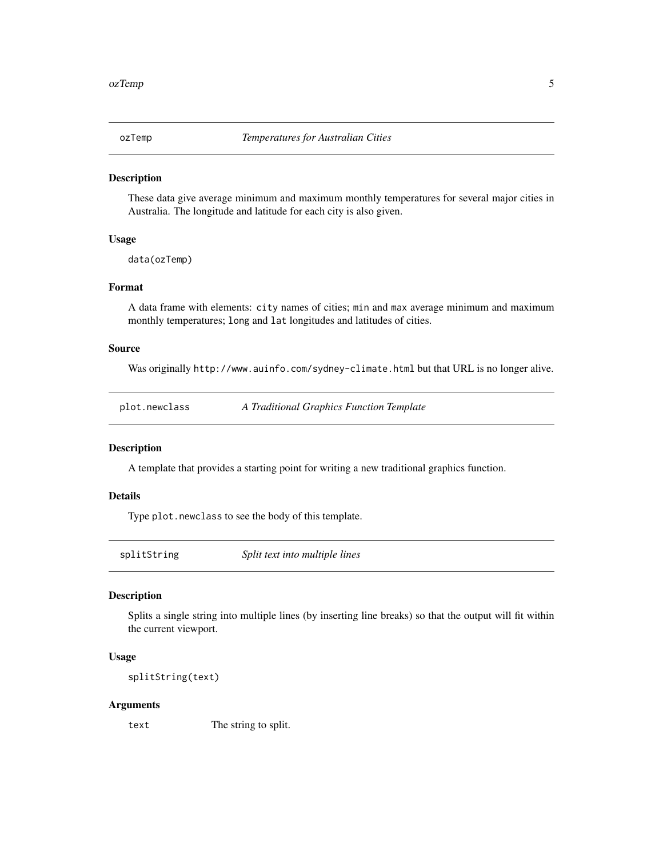<span id="page-4-0"></span>

These data give average minimum and maximum monthly temperatures for several major cities in Australia. The longitude and latitude for each city is also given.

#### Usage

data(ozTemp)

#### Format

A data frame with elements: city names of cities; min and max average minimum and maximum monthly temperatures; long and lat longitudes and latitudes of cities.

#### Source

Was originally http://www.auinfo.com/sydney-climate.html but that URL is no longer alive.

| A Traditional Graphics Function Template<br>plot.newclass |
|-----------------------------------------------------------|
|-----------------------------------------------------------|

#### Description

A template that provides a starting point for writing a new traditional graphics function.

#### Details

Type plot.newclass to see the body of this template.

splitString *Split text into multiple lines*

#### Description

Splits a single string into multiple lines (by inserting line breaks) so that the output will fit within the current viewport.

#### Usage

splitString(text)

#### Arguments

text The string to split.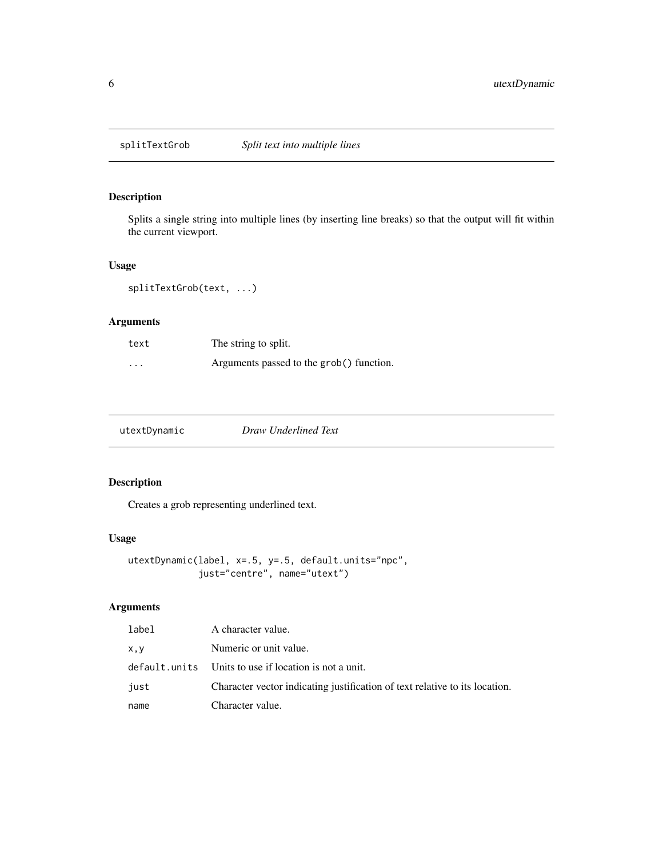<span id="page-5-0"></span>

Splits a single string into multiple lines (by inserting line breaks) so that the output will fit within the current viewport.

#### Usage

```
splitTextGrob(text, ...)
```
# Arguments

| text     | The string to split.                     |
|----------|------------------------------------------|
| $\cdots$ | Arguments passed to the grob() function. |

| utextDynamic | Draw Underlined Text |  |
|--------------|----------------------|--|
|              |                      |  |

# Description

Creates a grob representing underlined text.

#### Usage

```
utextDynamic(label, x=.5, y=.5, default.units="npc",
             just="centre", name="utext")
```
# Arguments

| label | A character value.                                                          |
|-------|-----------------------------------------------------------------------------|
| x, y  | Numeric or unit value.                                                      |
|       | default.units Units to use if location is not a unit.                       |
| just  | Character vector indicating justification of text relative to its location. |
| name  | Character value.                                                            |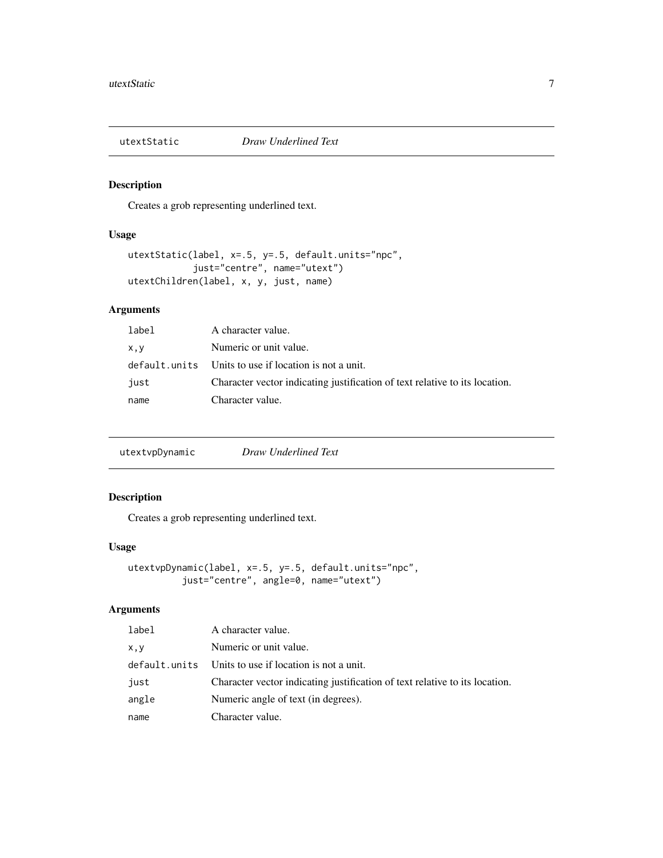<span id="page-6-0"></span>

Creates a grob representing underlined text.

#### Usage

```
utextStatic(label, x=.5, y=.5, default.units="npc",
            just="centre", name="utext")
utextChildren(label, x, y, just, name)
```
# Arguments

| label | A character value.                                                          |
|-------|-----------------------------------------------------------------------------|
| x,y   | Numeric or unit value.                                                      |
|       | default.units Units to use if location is not a unit.                       |
| just  | Character vector indicating justification of text relative to its location. |
| name  | Character value.                                                            |

utextvpDynamic *Draw Underlined Text*

#### Description

Creates a grob representing underlined text.

#### Usage

```
utextvpDynamic(label, x=.5, y=.5, default.units="npc",
          just="centre", angle=0, name="utext")
```
#### Arguments

| label         | A character value.                                                          |
|---------------|-----------------------------------------------------------------------------|
| x, y          | Numeric or unit value.                                                      |
| default.units | Units to use if location is not a unit.                                     |
| just          | Character vector indicating justification of text relative to its location. |
| angle         | Numeric angle of text (in degrees).                                         |
| name          | Character value.                                                            |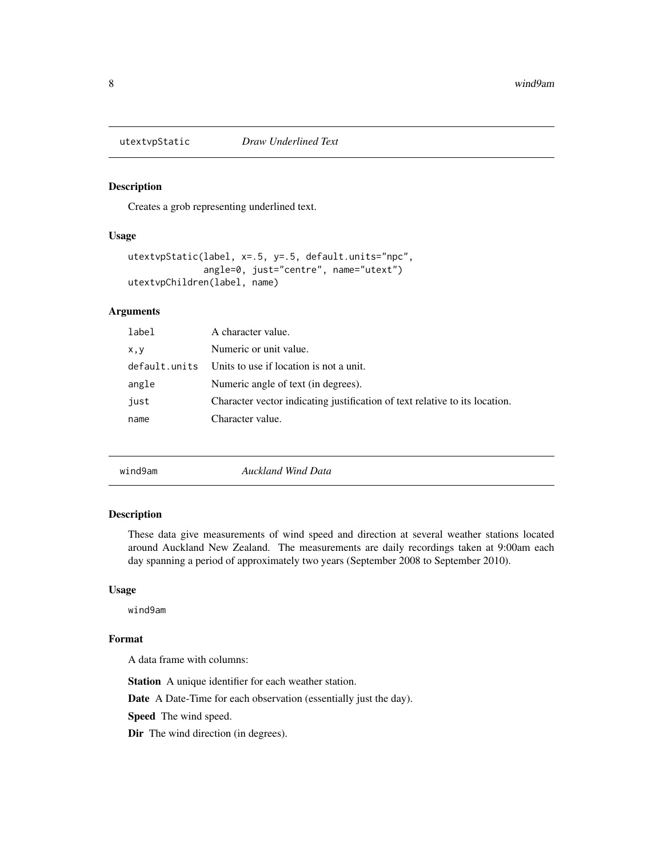<span id="page-7-0"></span>

Creates a grob representing underlined text.

#### Usage

```
utextvpStatic(label, x=.5, y=.5, default.units="npc",
              angle=0, just="centre", name="utext")
utextvpChildren(label, name)
```
# Arguments

| label         | A character value.                                                          |
|---------------|-----------------------------------------------------------------------------|
| x, y          | Numeric or unit value.                                                      |
| default.units | Units to use if location is not a unit.                                     |
| angle         | Numeric angle of text (in degrees).                                         |
| just          | Character vector indicating justification of text relative to its location. |
| name          | Character value.                                                            |
|               |                                                                             |

#### Description

These data give measurements of wind speed and direction at several weather stations located around Auckland New Zealand. The measurements are daily recordings taken at 9:00am each day spanning a period of approximately two years (September 2008 to September 2010).

#### Usage

wind9am

### Format

A data frame with columns:

Station A unique identifier for each weather station.

Date A Date-Time for each observation (essentially just the day).

Speed The wind speed.

Dir The wind direction (in degrees).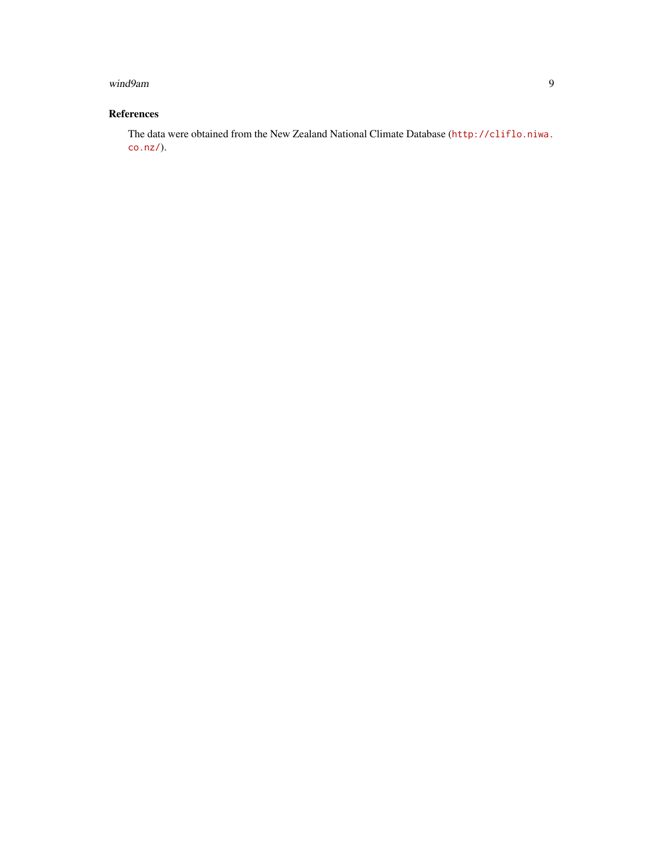#### wind9am 9 and 2008 and 2008 and 2008 and 2008 and 2008 and 2008 and 2008 and 2008 and 2008 and 2008 and 2008 and 2008 and 2008 and 2008 and 2008 and 2008 and 2008 and 2008 and 2008 and 2008 and 2008 and 2008 and 2008 and 2

# References

The data were obtained from the New Zealand National Climate Database ([http://cliflo.niwa.](http://cliflo.niwa.co.nz/) [co.nz/](http://cliflo.niwa.co.nz/)).